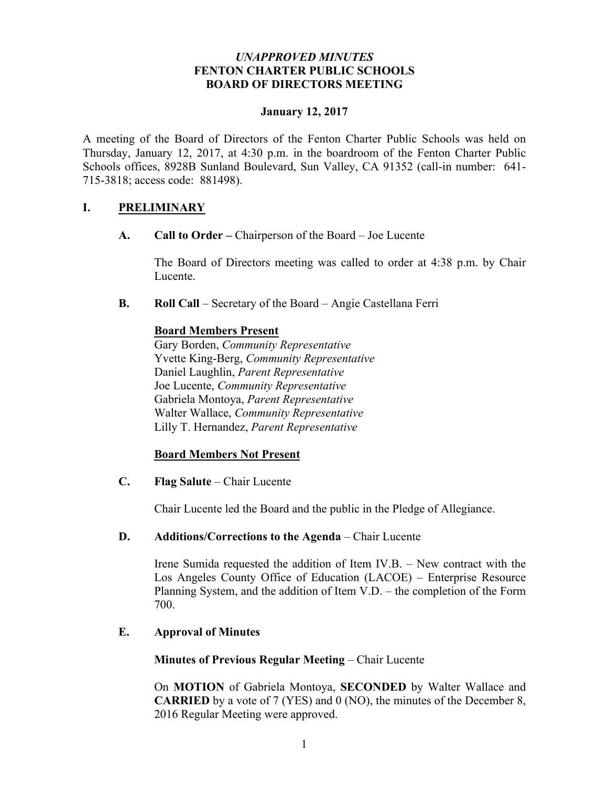### *UNAPPROVED MINUTES* **FENTON CHARTER PUBLIC SCHOOLS BOARD OF DIRECTORS MEETING**

### **January 12, 2017**

A meeting of the Board of Directors of the Fenton Charter Public Schools was held on Thursday, January 12, 2017, at 4:30 p.m. in the boardroom of the Fenton Charter Public Schools offices, 8928B Sunland Boulevard, Sun Valley, CA 91352 (call-in number: 641- 715-3818; access code: 881498).

# **I. PRELIMINARY**

**A. Call to Order –** Chairperson of the Board – Joe Lucente

The Board of Directors meeting was called to order at 4:38 p.m. by Chair Lucente.

**B. Roll Call** – Secretary of the Board – Angie Castellana Ferri

### **Board Members Present**

Gary Borden, *Community Representative* Yvette King-Berg, *Community Representative* Daniel Laughlin, *Parent Representative* Joe Lucente, *Community Representative* Gabriela Montoya, *Parent Representative* Walter Wallace, *Community Representative*  Lilly T. Hernandez, *Parent Representative*

# **Board Members Not Present**

**C. Flag Salute** – Chair Lucente

Chair Lucente led the Board and the public in the Pledge of Allegiance.

#### **D. Additions/Corrections to the Agenda** – Chair Lucente

Irene Sumida requested the addition of Item IV.B. – New contract with the Los Angeles County Office of Education (LACOE) – Enterprise Resource Planning System, and the addition of Item V.D. – the completion of the Form 700.

# **E. Approval of Minutes**

#### **Minutes of Previous Regular Meeting** – Chair Lucente

On **MOTION** of Gabriela Montoya, **SECONDED** by Walter Wallace and **CARRIED** by a vote of 7 (YES) and 0 (NO), the minutes of the December 8, 2016 Regular Meeting were approved.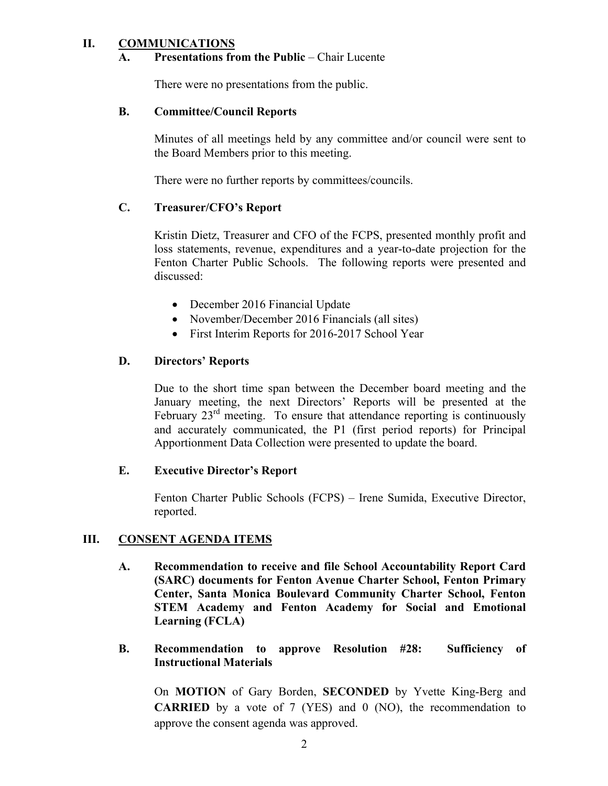# **II. COMMUNICATIONS**

### **A. Presentations from the Public** – Chair Lucente

There were no presentations from the public.

### **B. Committee/Council Reports**

Minutes of all meetings held by any committee and/or council were sent to the Board Members prior to this meeting.

There were no further reports by committees/councils.

# **C. Treasurer/CFO's Report**

Kristin Dietz, Treasurer and CFO of the FCPS, presented monthly profit and loss statements, revenue, expenditures and a year-to-date projection for the Fenton Charter Public Schools. The following reports were presented and discussed:

- December 2016 Financial Update
- November/December 2016 Financials (all sites)
- First Interim Reports for 2016-2017 School Year

#### **D. Directors' Reports**

Due to the short time span between the December board meeting and the January meeting, the next Directors' Reports will be presented at the February  $23<sup>rd</sup>$  meeting. To ensure that attendance reporting is continuously and accurately communicated, the P1 (first period reports) for Principal Apportionment Data Collection were presented to update the board.

#### **E. Executive Director's Report**

Fenton Charter Public Schools (FCPS) – Irene Sumida, Executive Director, reported.

#### **III. CONSENT AGENDA ITEMS**

**A. Recommendation to receive and file School Accountability Report Card (SARC) documents for Fenton Avenue Charter School, Fenton Primary Center, Santa Monica Boulevard Community Charter School, Fenton STEM Academy and Fenton Academy for Social and Emotional Learning (FCLA)**

### **B. Recommendation to approve Resolution #28: Sufficiency of Instructional Materials**

On **MOTION** of Gary Borden, **SECONDED** by Yvette King-Berg and **CARRIED** by a vote of 7 (YES) and 0 (NO), the recommendation to approve the consent agenda was approved.